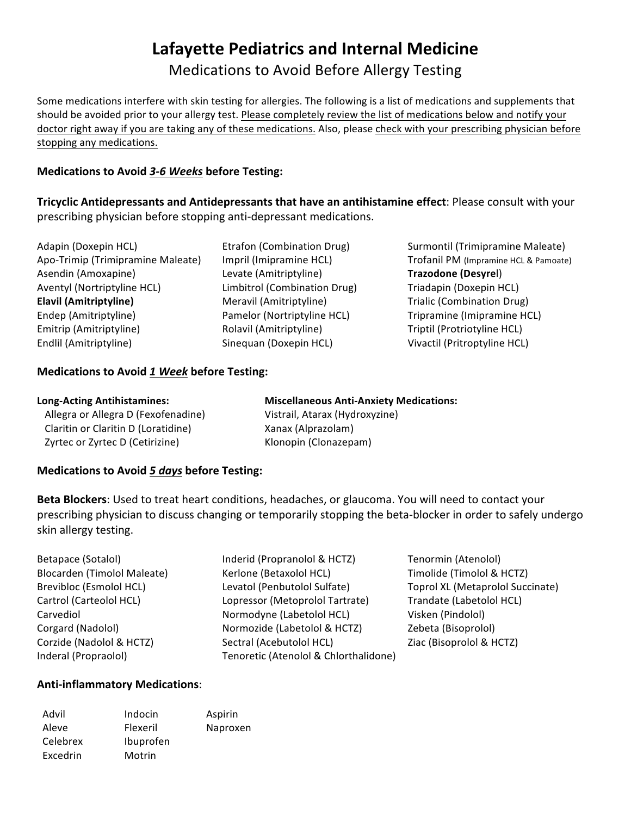# **Lafayette Pediatrics and Internal Medicine** Medications to Avoid Before Allergy Testing

Some medications interfere with skin testing for allergies. The following is a list of medications and supplements that should be avoided prior to your allergy test. Please completely review the list of medications below and notify your doctor right away if you are taking any of these medications. Also, please check with your prescribing physician before stopping any medications.

## **Medications to Avoid 3-6 Weeks before Testing:**

**Tricyclic Antidepressants and Antidepressants that have an antihistamine effect: Please consult with your** prescribing physician before stopping anti-depressant medications.

| Adapin (Doxepin HCL)              |
|-----------------------------------|
| Apo-Trimip (Trimipramine Maleate) |
| Asendin (Amoxapine)               |
| Aventyl (Nortriptyline HCL)       |
| <b>Elavil (Amitriptyline)</b>     |
|                                   |
| Endep (Amitriptyline)             |
| Emitrip (Amitriptyline)           |

Levate (Amitriptyline) **Trazodone (Desyre**l) Limbitrol (Combination Drug) Triadapin (Doxepin HCL) **Elavil (Amitriptyline)** Trialic (Combination Drug) Rolavil (Amitriptyline) Triptil (Protriotyline HCL) Sinequan (Doxepin HCL) Vivactil (Pritroptyline HCL)

Etrafon (Combination Drug) Surmontil (Trimipramine Maleate) Impril (Imipramine HCL) Trofanil PM (Impramine HCL & Pamoate) Pamelor (Nortriptyline HCL) Tripramine (Imipramine HCL)

## **Medications to Avoid 1 Week before Testing:**

| <b>Long-Acting Antihistamines:</b>  | <b>Miscellaneous Anti-Anxiety Medications:</b> |
|-------------------------------------|------------------------------------------------|
| Allegra or Allegra D (Fexofenadine) | Vistrail, Atarax (Hydroxyzine)                 |
| Claritin or Claritin D (Loratidine) | Xanax (Alprazolam)                             |
| Zyrtec or Zyrtec D (Cetirizine)     | Klonopin (Clonazepam)                          |

## **Medications to Avoid 5 days before Testing:**

**Beta Blockers**: Used to treat heart conditions, headaches, or glaucoma. You will need to contact your prescribing physician to discuss changing or temporarily stopping the beta-blocker in order to safely undergo skin allergy testing.

Betapace (Sotalol) Tenormin (Atenolol) and the Inderid (Propranolol & HCTZ) Tenormin (Atenolol) Blocarden (Timolol Maleate) (Kerlone (Betaxolol HCL) Timolide (Timolol & HCTZ) Brevibloc (Esmolol HCL) Levatol (Penbutolol Sulfate) Toprol XL (Metaprolol Succinate) Cartrol (Carteolol HCL) Lopressor (Metoprolol Tartrate) Trandate (Labetolol HCL) Carvediol **Carvediol Normodyne** (Labetolol HCL) Visken (Pindolol) Corgard (Nadolol) **Normozide** (Labetolol & HCTZ) **Zebeta** (Bisoprolol) Corzide (Nadolol & HCTZ) Sectral (Acebutolol HCL) Ziac (Bisoprolol & HCTZ) Inderal (Propraolol) Tenoretic (Atenolol & Chlorthalidone)

## **Anti-inflammatory Medications**:

| Advil    | Indocin   | Aspirin  |
|----------|-----------|----------|
| Aleve    | Flexeril  | Naproxen |
| Celebrex | Ibuprofen |          |
| Excedrin | Motrin    |          |